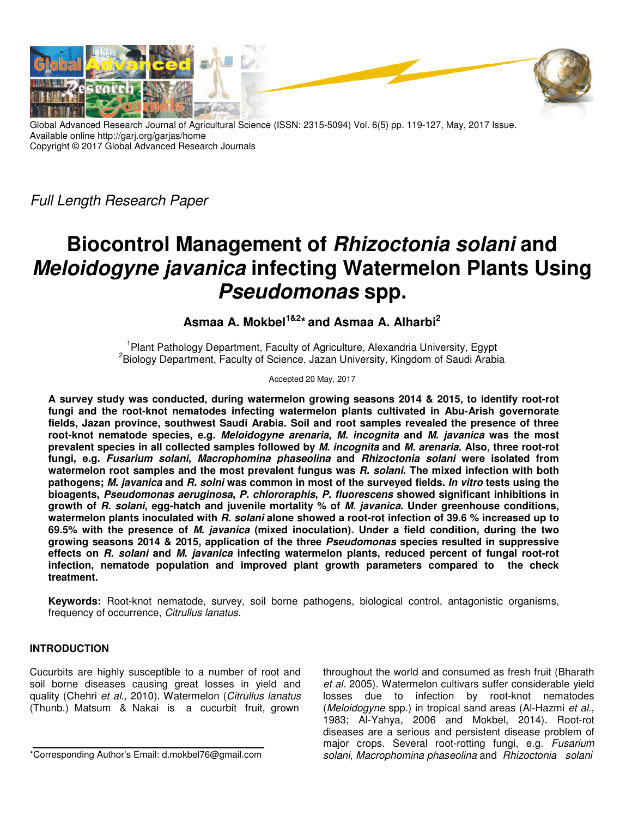

Global Advanced Research Journal of Agricultural Science (ISSN: 2315-5094) Vol. 6(5) pp. 119-127, May, 2017 Issue. Available online http://garj.org/garjas/home Copyright © 2017 Global Advanced Research Journals

Full Length Research Paper

# **Biocontrol Management of** *Rhizoctonia solani* **and**  *Meloidogyne javanica* **infecting Watermelon Plants Using**  *Pseudomonas* **spp.**

**Asmaa A. Mokbel1&2\* and Asmaa A. Alharbi<sup>2</sup>**

<sup>1</sup>Plant Pathology Department, Faculty of Agriculture, Alexandria University, Egypt <sup>2</sup> Biology Department, Faculty of Science, Jazan University, Kingdom of Saudi Arabia

Accepted 20 May, 2017

**A survey study was conducted, during watermelon growing seasons 2014 & 2015, to identify root-rot fungi and the root-knot nematodes infecting watermelon plants cultivated in Abu-Arish governorate fields, Jazan province, southwest Saudi Arabia. Soil and root samples revealed the presence of three root-knot nematode species, e.g.** *Meloidogyne arenaria***,** *M. incognita* **and** *M. javanica* **was the most prevalent species in all collected samples followed by** *M. incognita* **and** *M. arenaria***. Also, three root-rot fungi, e.g.** *Fusarium solani***,** *Macrophomina phaseolina* **and** *Rhizoctonia solani* **were isolated from watermelon root samples and the most prevalent fungus was** *R. solani***. The mixed infection with both pathogens;** *M. javanica* **and** *R. solni* **was common in most of the surveyed fields.** *In vitro* **tests using the bioagents,** *Pseudomonas aeruginosa***,** *P. chlororaphis***,** *P. fluorescens* **showed significant inhibitions in growth of** *R. solani***, egg-hatch and juvenile mortality % of** *M. javanica***. Under greenhouse conditions, watermelon plants inoculated with** *R. solani* **alone showed a root-rot infection of 39.6 % increased up to 69.5% with the presence of** *M. javanica* **(mixed inoculation). Under a field condition, during the two growing seasons 2014 & 2015, application of the three** *Pseudomonas* **species resulted in suppressive effects on** *R. solani* **and** *M. javanica* **infecting watermelon plants, reduced percent of fungal root-rot infection, nematode population and improved plant growth parameters compared to the check treatment.** 

**Keywords:** Root-knot nematode, survey, soil borne pathogens, biological control, antagonistic organisms, frequency of occurrence, Citrullus lanatus.

# **INTRODUCTION**

Cucurbits are highly susceptible to a number of root and soil borne diseases causing great losses in yield and quality (Chehri et al., 2010). Watermelon (Citrullus lanatus (Thunb.) Matsum & Nakai is a cucurbit fruit, grown

\*Corresponding Author's Email: d.mokbel76@gmail.com

throughout the world and consumed as fresh fruit (Bharath et al. 2005). Watermelon cultivars suffer considerable yield losses due to infection by root-knot nematodes (Meloidogyne spp.) in tropical sand areas (Al-Hazmi et al., 1983; Al-Yahya, 2006 and Mokbel, 2014). Root-rot diseases are a serious and persistent disease problem of major crops. Several root-rotting fungi, e.g. Fusarium solani, Macrophomina phaseolina and Rhizoctonia solani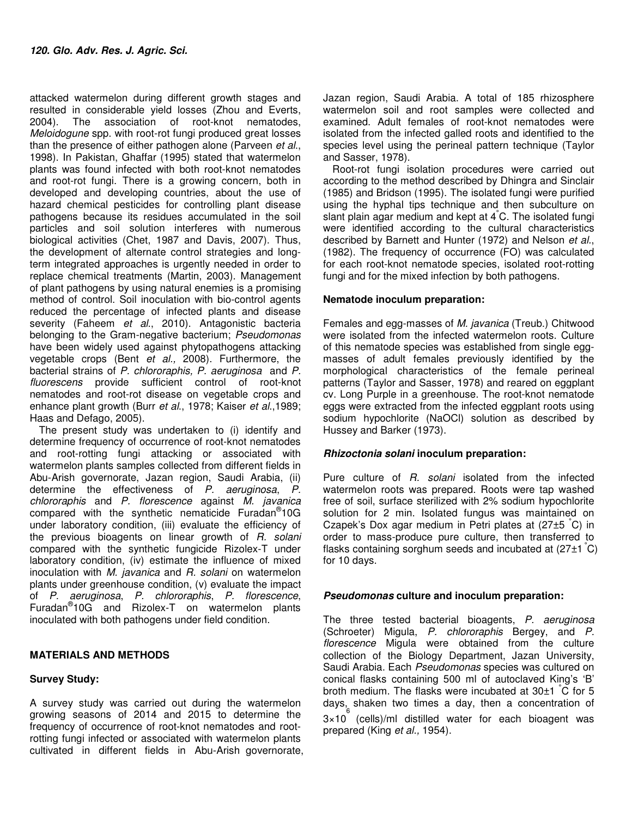attacked watermelon during different growth stages and resulted in considerable yield losses (Zhou and Everts, 2004). The association of root-knot nematodes, Meloidogune spp. with root-rot fungi produced great losses than the presence of either pathogen alone (Parveen et al., 1998). In Pakistan, Ghaffar (1995) stated that watermelon plants was found infected with both root-knot nematodes and root-rot fungi. There is a growing concern, both in developed and developing countries, about the use of hazard chemical pesticides for controlling plant disease pathogens because its residues accumulated in the soil particles and soil solution interferes with numerous biological activities (Chet, 1987 and Davis, 2007). Thus, the development of alternate control strategies and longterm integrated approaches is urgently needed in order to replace chemical treatments (Martin, 2003). Management of plant pathogens by using natural enemies is a promising method of control. Soil inoculation with bio-control agents reduced the percentage of infected plants and disease severity (Faheem et al., 2010). Antagonistic bacteria belonging to the Gram-negative bacterium; Pseudomonas have been widely used against phytopathogens attacking vegetable crops (Bent et al., 2008). Furthermore, the bacterial strains of P. chlororaphis, P. aeruginosa and P. fluorescens provide sufficient control of root-knot nematodes and root-rot disease on vegetable crops and enhance plant growth (Burr et al., 1978; Kaiser et al., 1989; Haas and Defago, 2005).

The present study was undertaken to (i) identify and determine frequency of occurrence of root-knot nematodes and root-rotting fungi attacking or associated with watermelon plants samples collected from different fields in Abu-Arish governorate, Jazan region, Saudi Arabia, (ii) determine the effectiveness of P. aeruginosa, P.  $chlororaphis$  and  $P.$  florescence against  $\tilde{M}$ . javanica compared with the synthetic nematicide Furadan® 10G under laboratory condition, (iii) evaluate the efficiency of the previous bioagents on linear growth of R. solani compared with the synthetic fungicide Rizolex-T under laboratory condition, (iv) estimate the influence of mixed inoculation with M. javanica and R. solani on watermelon plants under greenhouse condition, (v) evaluate the impact of P. aeruginosa, P. chlororaphis, P. florescence, Furadan® 10G and Rizolex-T on watermelon plants inoculated with both pathogens under field condition.

# **MATERIALS AND METHODS**

### **Survey Study:**

A survey study was carried out during the watermelon growing seasons of 2014 and 2015 to determine the frequency of occurrence of root-knot nematodes and rootrotting fungi infected or associated with watermelon plants cultivated in different fields in Abu-Arish governorate, Jazan region, Saudi Arabia. A total of 185 rhizosphere watermelon soil and root samples were collected and examined. Adult females of root-knot nematodes were isolated from the infected galled roots and identified to the species level using the perineal pattern technique (Taylor and Sasser, 1978).

Root-rot fungi isolation procedures were carried out according to the method described by Dhingra and Sinclair (1985) and Bridson (1995). The isolated fungi were purified using the hyphal tips technique and then subculture on slant plain agar medium and kept at  $4^{\circ}$ C. The isolated fungi were identified according to the cultural characteristics described by Barnett and Hunter (1972) and Nelson et al., (1982). The frequency of occurrence (FO) was calculated for each root-knot nematode species, isolated root-rotting fungi and for the mixed infection by both pathogens.

### **Nematode inoculum preparation:**

Females and egg-masses of M. javanica (Treub.) Chitwood were isolated from the infected watermelon roots. Culture of this nematode species was established from single eggmasses of adult females previously identified by the morphological characteristics of the female perineal patterns (Taylor and Sasser, 1978) and reared on eggplant cv. Long Purple in a greenhouse. The root-knot nematode eggs were extracted from the infected eggplant roots using sodium hypochlorite (NaOCl) solution as described by Hussey and Barker (1973).

### *Rhizoctonia solani* **inoculum preparation:**

Pure culture of R. solani isolated from the infected watermelon roots was prepared. Roots were tap washed free of soil, surface sterilized with 2% sodium hypochlorite solution for 2 min. Isolated fungus was maintained on Czapek's Dox agar medium in Petri plates at (27±5 °C) in order to mass-produce pure culture, then transferred to flasks containing sorghum seeds and incubated at  $(27\pm1\degree C)$ for 10 days.

### *Pseudomonas* **culture and inoculum preparation:**

The three tested bacterial bioagents, P. aeruginosa (Schroeter) Migula, P. chlororaphis Bergey, and P. florescence Migula were obtained from the culture collection of the Biology Department, Jazan University, Saudi Arabia. Each Pseudomonas species was cultured on conical flasks containing 500 ml of autoclaved King's 'B' broth medium. The flasks were incubated at 30±1 °C for 5 days, shaken two times a day, then a concentration of 3×10 6 (cells)/ml distilled water for each bioagent was prepared (King et al., 1954).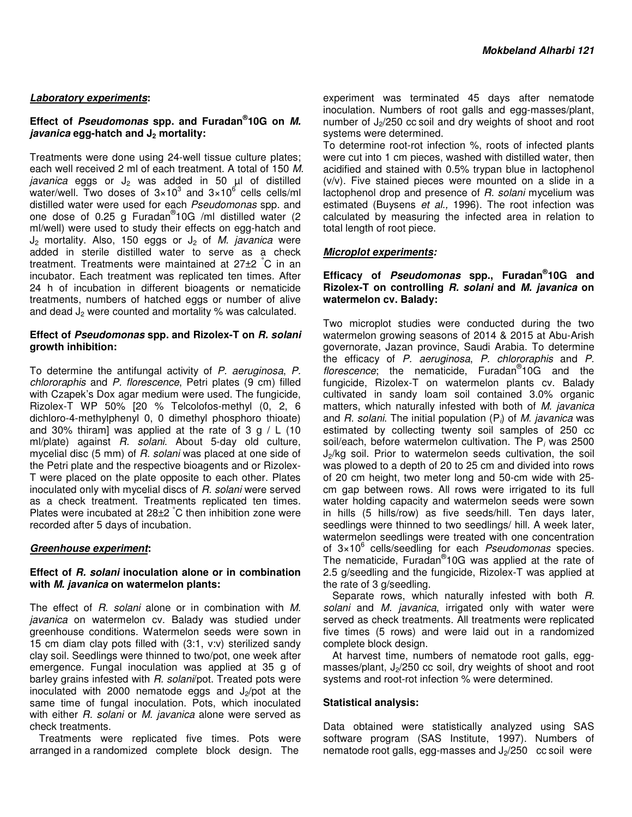### *Laboratory experiments***:**

### **Effect of** *Pseudomonas* **spp. and Furadan® 10G on** *M. javanica* **egg-hatch and J2 mortality:**

Treatments were done using 24-well tissue culture plates; each well received 2 ml of each treatment. A total of 150 M. javanica eggs or  $J_2$  was added in 50  $\mu$ l of distilled water/well. Two doses of  $3\times10^3$  and  $3\times10^6$  cells cells/ml distilled water were used for each Pseudomonas spp. and one dose of 0.25 g Furadan<sup>®</sup>10G /ml distilled water (2 ml/well) were used to study their effects on egg-hatch and  $J_2$  mortality. Also, 150 eggs or  $J_2$  of M. javanica were added in sterile distilled water to serve as a check treatment. Treatments were maintained at 27±2 °C in an incubator. Each treatment was replicated ten times. After 24 h of incubation in different bioagents or nematicide treatments, numbers of hatched eggs or number of alive and dead  $J_2$  were counted and mortality % was calculated.

### **Effect of** *Pseudomonas* **spp. and Rizolex-T on** *R. solani* **growth inhibition:**

To determine the antifungal activity of P. aeruginosa, P. chlororaphis and P. florescence, Petri plates (9 cm) filled with Czapek's Dox agar medium were used. The fungicide, Rizolex-T WP 50% [20 % Telcolofos-methyl (0, 2, 6 dichloro-4-methylphenyl 0, 0 dimethyl phosphoro thioate) and 30% thiram] was applied at the rate of 3  $g / L$  (10 ml/plate) against R. solani. About 5-day old culture, mycelial disc (5 mm) of R. solani was placed at one side of the Petri plate and the respective bioagents and or Rizolex-T were placed on the plate opposite to each other. Plates inoculated only with mycelial discs of R. solani were served as a check treatment. Treatments replicated ten times. Plates were incubated at  $28\pm2~\text{°C}$  then inhibition zone were recorded after 5 days of incubation.

### *Greenhouse experiment***:**

### **Effect of** *R. solani* **inoculation alone or in combination with** *M. javanica* **on watermelon plants:**

The effect of R. solani alone or in combination with M. iavanica on watermelon cv. Balady was studied under greenhouse conditions. Watermelon seeds were sown in 15 cm diam clay pots filled with (3:1, v:v) sterilized sandy clay soil. Seedlings were thinned to two/pot, one week after emergence. Fungal inoculation was applied at 35 g of barley grains infested with R. solani/pot. Treated pots were inoculated with 2000 nematode eggs and  $J_2$ /pot at the same time of fungal inoculation. Pots, which inoculated with either R. solani or M. javanica alone were served as check treatments.

Treatments were replicated five times. Pots were arranged in a randomized complete block design. The

experiment was terminated 45 days after nematode inoculation. Numbers of root galls and egg-masses/plant, number of  $J_2/250$  cc soil and dry weights of shoot and root systems were determined.

To determine root-rot infection %, roots of infected plants were cut into 1 cm pieces, washed with distilled water, then acidified and stained with 0.5% trypan blue in lactophenol (v/v). Five stained pieces were mounted on a slide in a lactophenol drop and presence of R. solani mycelium was estimated (Buysens et al., 1996). The root infection was calculated by measuring the infected area in relation to total length of root piece.

## *Microplot experiments:*

## **Efficacy of** *Pseudomonas* **spp., Furadan® 10G and Rizolex-T on controlling** *R. solani* **and** *M. javanica* **on watermelon cv. Balady:**

Two microplot studies were conducted during the two watermelon growing seasons of 2014 & 2015 at Abu-Arish governorate, Jazan province, Saudi Arabia. To determine the efficacy of P. aeruginosa, P. chlororaphis and P. florescence; the nematicide, Furadan<sup>®</sup>10G and the fungicide, Rizolex-T on watermelon plants cv. Balady cultivated in sandy loam soil contained 3.0% organic matters, which naturally infested with both of M. javanica and R. solani. The initial population  $(P_i)$  of M. javanica was estimated by collecting twenty soil samples of 250 cc soil/each, before watermelon cultivation. The  $P_i$  was 2500  $J<sub>2</sub>/kg$  soil. Prior to watermelon seeds cultivation, the soil was plowed to a depth of 20 to 25 cm and divided into rows of 20 cm height, two meter long and 50-cm wide with 25 cm gap between rows. All rows were irrigated to its full water holding capacity and watermelon seeds were sown in hills (5 hills/row) as five seeds/hill. Ten days later, seedlings were thinned to two seedlings/ hill. A week later, watermelon seedlings were treated with one concentration of 3×10<sup>6</sup> cells/seedling for each Pseudomonas species. The nematicide, Furadan® 10G was applied at the rate of 2.5 g/seedling and the fungicide, Rizolex-T was applied at the rate of 3 g/seedling.

Separate rows, which naturally infested with both R. solani and M. javanica, irrigated only with water were served as check treatments. All treatments were replicated five times (5 rows) and were laid out in a randomized complete block design.

At harvest time, numbers of nematode root galls, eggmasses/plant,  $J_2/250$  cc soil, dry weights of shoot and root systems and root-rot infection % were determined.

### **Statistical analysis:**

Data obtained were statistically analyzed using SAS software program (SAS Institute, 1997). Numbers of nematode root galls, egg-masses and  $J_2/250$  cc soil were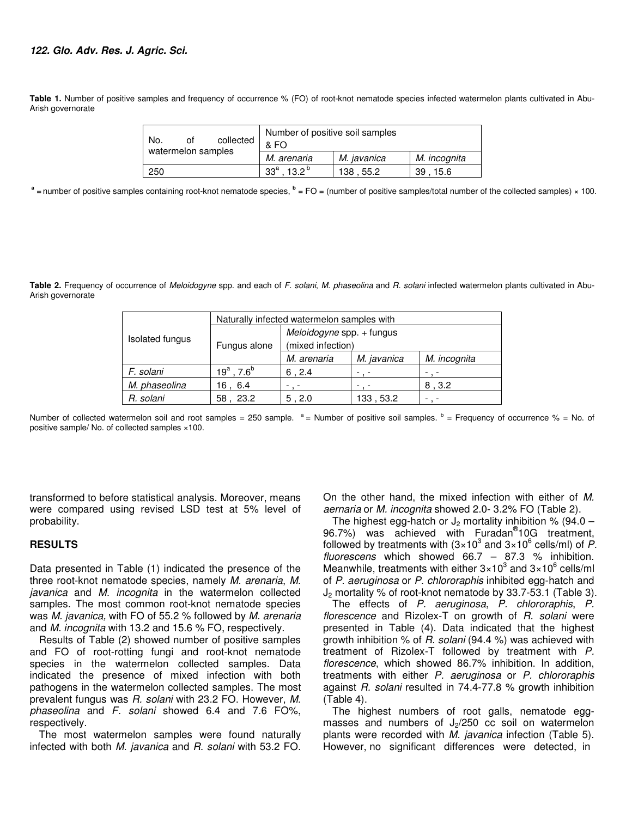#### *122. Glo. Adv. Res. J. Agric. Sci.*

**Table 1.** Number of positive samples and frequency of occurrence % (FO) of root-knot nematode species infected watermelon plants cultivated in Abu-Arish governorate

| collected<br>No.<br>οt<br>watermelon samples | Number of positive soil samples<br>& FO |             |              |  |  |  |
|----------------------------------------------|-----------------------------------------|-------------|--------------|--|--|--|
|                                              | M. arenaria                             | M. javanica | M. incognita |  |  |  |
| 250                                          | $33^a$ . 13.2 <sup>b</sup>              | 138,55.2    | 39<br>15.6   |  |  |  |

a = number of positive samples containing root-knot nematode species,  $^{\rm b}$  = FO = (number of positive samples/total number of the collected samples) × 100.

Table 2. Frequency of occurrence of Meloidogyne spp. and each of F. solani, M. phaseolina and R. solani infected watermelon plants cultivated in Abu-Arish governorate

| Isolated fungus | Naturally infected watermelon samples with |                                                |             |              |  |  |  |
|-----------------|--------------------------------------------|------------------------------------------------|-------------|--------------|--|--|--|
|                 | Fungus alone                               | Meloidogyne spp. + fungus<br>(mixed infection) |             |              |  |  |  |
|                 |                                            | M. arenaria                                    | M. javanica | M. incognita |  |  |  |
| F. solani       | $19^a$ , 7.6 <sup>b</sup>                  | 6, 2.4                                         |             |              |  |  |  |
| M. phaseolina   | 16, 6.4                                    |                                                |             | 8, 3.2       |  |  |  |
| R. solani       | 58, 23.2                                   | 5, 2.0                                         | 133, 53.2   |              |  |  |  |

Number of collected watermelon soil and root samples = 250 sample.  $a =$  Number of positive soil samples.  $b =$  Frequency of occurrence % = No. of positive sample/ No. of collected samples ×100.

transformed to before statistical analysis. Moreover, means were compared using revised LSD test at 5% level of probability.

#### **RESULTS**

Data presented in Table (1) indicated the presence of the three root-knot nematode species, namely M. arenaria, M. javanica and M. incognita in the watermelon collected samples. The most common root-knot nematode species was M. javanica, with FO of 55.2 % followed by M. arenaria and M. incognita with 13.2 and 15.6 % FO, respectively.

Results of Table (2) showed number of positive samples and FO of root-rotting fungi and root-knot nematode species in the watermelon collected samples. Data indicated the presence of mixed infection with both pathogens in the watermelon collected samples. The most prevalent fungus was R. solani with 23.2 FO. However, M. phaseolina and F. solani showed 6.4 and 7.6 FO%, respectively.

The most watermelon samples were found naturally infected with both M. javanica and R. solani with 53.2 FO. On the other hand, the mixed infection with either of M. aernaria or M. incognita showed 2.0- 3.2% FO (Table 2).

The highest egg-hatch or  $J_2$  mortality inhibition % (94.0 – 96.7%) was achieved with Furadan<sup>®</sup>10G treatment, followed by treatments with (3×10<sup>3</sup> and 3×10<sup>6</sup> cells/ml) of P. fluorescens which showed 66.7 – 87.3 % inhibition. Meanwhile, treatments with either  $3\times10^3$  and  $3\times10^6$  cells/ml of P. aeruginosa or P. chlororaphis inhibited egg-hatch and J2 mortality % of root-knot nematode by 33.7-53.1 (Table 3).

The effects of P. aeruginosa, P. chlororaphis, P. florescence and Rizolex-T on growth of R. solani were presented in Table (4). Data indicated that the highest growth inhibition % of R. solani (94.4 %) was achieved with treatment of Rizolex-T followed by treatment with P. florescence, which showed 86.7% inhibition. In addition, treatments with either P. aeruginosa or P. chlororaphis against R. solani resulted in 74.4-77.8 % growth inhibition (Table 4).

The highest numbers of root galls, nematode eggmasses and numbers of  $J_2/250$  cc soil on watermelon plants were recorded with M. javanica infection (Table 5). However, no significant differences were detected, in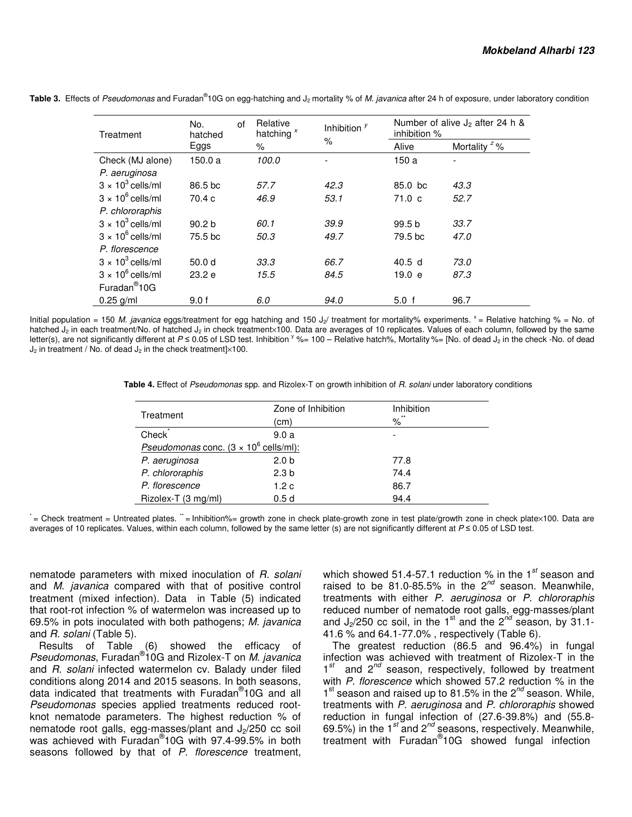| Treatment                | No.<br>hatched    | of | Relative<br>hatching <sup>x</sup> | Inhibition $y$ |                   | Number of alive $J_2$ after 24 h &<br>inhibition % |  |  |
|--------------------------|-------------------|----|-----------------------------------|----------------|-------------------|----------------------------------------------------|--|--|
|                          | Eggs              |    | %                                 | $\%$           | Alive             | Mortality $z$ %                                    |  |  |
| Check (MJ alone)         | 150.0 a           |    | 100.0                             |                | 150 a             |                                                    |  |  |
| P. aeruginosa            |                   |    |                                   |                |                   |                                                    |  |  |
| $3 \times 10^3$ cells/ml | 86.5 bc           |    | 57.7                              | 42.3           | 85.0 bc           | 43.3                                               |  |  |
| $3 \times 10^6$ cells/ml | 70.4c             |    | 46.9                              | 53.1           | 71.0 <sub>c</sub> | 52.7                                               |  |  |
| P. chlororaphis          |                   |    |                                   |                |                   |                                                    |  |  |
| $3 \times 10^3$ cells/ml | 90.2 <sub>b</sub> |    | 60.1                              | 39.9           | 99.5 <sub>b</sub> | 33.7                                               |  |  |
| $3 \times 10^6$ cells/ml | 75.5 bc           |    | 50.3                              | 49.7           | 79.5 bc           | 47.0                                               |  |  |
| P. florescence           |                   |    |                                   |                |                   |                                                    |  |  |
| $3 \times 10^3$ cells/ml | 50.0 <sub>d</sub> |    | 33.3                              | 66.7           | 40.5 <sub>d</sub> | 73.0                                               |  |  |
| $3 \times 10^6$ cells/ml | 23.2 e            |    | 15.5                              | 84.5           | 19.0 e            | 87.3                                               |  |  |
| Furadan <sup>®</sup> 10G |                   |    |                                   |                |                   |                                                    |  |  |
| $0.25$ g/ml              | 9.0 f             |    | 6.0                               | 94.0           | 5.0 f             | 96.7                                               |  |  |

Table 3. Effects of Pseudomonas and Furadan®10G on egg-hatching and J<sub>2</sub> mortality % of M. javanica after 24 h of exposure, under laboratory condition

Initial population = 150 M. javanica eggs/treatment for egg hatching and 150 J<sub>2</sub>/ treatment for mortality% experiments.  $x =$  Relative hatching % = No. of hatched J2 in each treatment/No. of hatched J2 in check treatment×100. Data are averages of 10 replicates. Values of each column, followed by the same letter(s), are not significantly different at P ≤ 0.05 of LSD test. Inhibition <sup>y</sup> %= 100 - Relative hatch%, Mortality %= [No. of dead J<sub>2</sub> in the check -No. of dead  $J_2$  in treatment / No. of dead  $J_2$  in the check treatment $\frac{1}{2}$ 100.

 **Table 4.** Effect of Pseudomonas spp. and Rizolex-T on growth inhibition of R. solani under laboratory conditions

| Treatment                                                     | Zone of Inhibition<br>(cm) | Inhibition<br>**<br>$\%$ |  |
|---------------------------------------------------------------|----------------------------|--------------------------|--|
| Check <sup>®</sup>                                            | 9.0a                       | ٠                        |  |
| <b>Pseudomonas conc.</b> $(3 \times 10^6 \text{ cells/ml})$ : |                            |                          |  |
| P. aeruginosa                                                 | 2.0 <sub>b</sub>           | 77.8                     |  |
| P. chlororaphis                                               | 2.3 <sub>b</sub>           | 74.4                     |  |
| P. florescence                                                | 1.2c                       | 86.7                     |  |
| Rizolex-T (3 mg/ml)                                           | 0.5d                       | 94.4                     |  |

' = Check treatment = Untreated plates. " = Inhibition% = growth zone in check plate-growth zone in test plate/growth zone in check plate×100. Data are averages of 10 replicates. Values, within each column, followed by the same letter (s) are not significantly different at P ≤ 0.05 of LSD test.

nematode parameters with mixed inoculation of R. solani and M. javanica compared with that of positive control treatment (mixed infection). Data in Table (5) indicated that root-rot infection % of watermelon was increased up to 69.5% in pots inoculated with both pathogens; M. javanica and R. solani (Table 5).

Results of Table (6) showed the efficacy of Pseudomonas, Furadan<sup>®</sup>10G and Rizolex-T on M. javanica and R. solani infected watermelon cv. Balady under filed conditions along 2014 and 2015 seasons. In both seasons, data indicated that treatments with Furadan® 10G and all Pseudomonas species applied treatments reduced rootknot nematode parameters. The highest reduction % of nematode root galls, egg-masses/plant and  $J_2/250$  cc soil was achieved with Furadan® 10G with 97.4-99.5% in both seasons followed by that of P. florescence treatment,

which showed 51.4-57.1 reduction % in the  $1^{st}$  season and raised to be  $81.0-85.5\%$  in the  $2^{nd}$  season. Meanwhile, treatments with either P. aeruginosa or P. chlororaphis reduced number of nematode root galls, egg-masses/plant and  $J_2/250$  cc soil, in the 1<sup>st</sup> and the 2<sup>nd</sup> season, by 31.1-41.6 % and 64.1-77.0% , respectively (Table 6).

The greatest reduction (86.5 and 96.4%) in fungal infection was achieved with treatment of Rizolex-T in the  $1<sup>st</sup>$  and  $2<sup>nd</sup>$  season, respectively, followed by treatment with P. florescence which showed 57.2 reduction % in the  $1<sup>st</sup>$  season and raised up to 81.5% in the  $2<sup>nd</sup>$  season. While, treatments with P. aeruginosa and P. chlororaphis showed reduction in fungal infection of (27.6-39.8%) and (55.8- 69.5%) in the 1<sup>st</sup> and 2<sup>nd</sup> seasons, respectively. Meanwhile, treatment with Furadan<sup>®</sup>10G showed fungal infection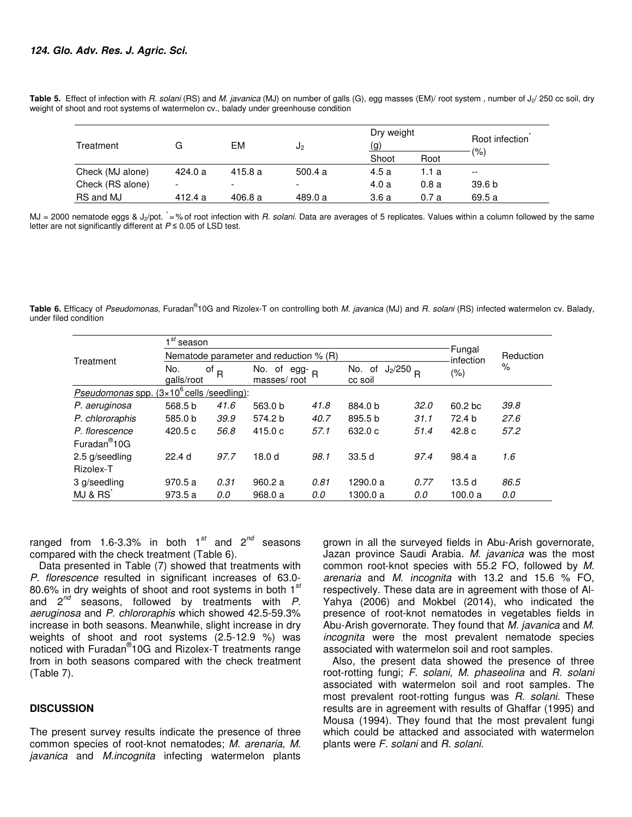| Treatment        | G       | EM      | J2                       | Dry weight<br>(g) |       | Root infection           |
|------------------|---------|---------|--------------------------|-------------------|-------|--------------------------|
|                  |         |         |                          | Shoot             | Root  | (% )                     |
| Check (MJ alone) | 424.0 a | 415.8a  | 500.4a                   | 4.5a              | l.1 a | $\overline{\phantom{m}}$ |
| Check (RS alone) | -       | -       | $\overline{\phantom{0}}$ | 4.0a              | 0.8a  | 39.6 <sub>b</sub>        |
| RS and MJ        | 412.4 a | 406.8 a | 489.0 a                  | 3.6a              | 0.7a  | 69.5 a                   |

Table 5. Effect of infection with R. solani (RS) and M. javanica (MJ) on number of galls (G), egg masses (EM)/ root system, number of J<sub>2</sub>/ 250 cc soil, dry weight of shoot and root systems of watermelon cv., balady under greenhouse condition

MJ = 2000 nematode eggs & J<sub>2</sub>/pot.  $\dot{=}$ % of root infection with R. solani. Data are averages of 5 replicates. Values within a column followed by the same letter are not significantly different at  $P \le 0.05$  of LSD test.

Table 6. Efficacy of Pseudomonas, Furadan®10G and Rizolex-T on controlling both M. javanica (MJ) and R. solani (RS) infected watermelon cv. Balady, under filed condition

| Treatment                                                       | ⊣ st<br>season                         |                           |                                 |           |                                  |      |         |      |  |
|-----------------------------------------------------------------|----------------------------------------|---------------------------|---------------------------------|-----------|----------------------------------|------|---------|------|--|
|                                                                 | Nematode parameter and reduction % (R) |                           | Fungal<br>infection             | Reduction |                                  |      |         |      |  |
|                                                                 | No.<br>galls/root                      | $\mathsf{p}$ <sub>R</sub> | No. of egg- $_R$<br>masses/root |           | $J_2/250$ R<br>No. of<br>cc soil |      | $(\% )$ | $\%$ |  |
| $(3 \times 10^6 \text{ cells /seedling})$ :<br>Pseudomonas spp. |                                        |                           |                                 |           |                                  |      |         |      |  |
| P. aeruginosa                                                   | 568.5 b                                | 41.6                      | 563.0 b                         | 41.8      | 884.0 b                          | 32.0 | 60.2 bc | 39.8 |  |
| P. chlororaphis                                                 | 585.0 b                                | 39.9                      | 574.2 b                         | 40.7      | 895.5 b                          | 31.1 | 72.4 b  | 27.6 |  |
| P. florescence                                                  | 420.5 c                                | 56.8                      | 415.0c                          | 57.1      | 632.0 c                          | 51.4 | 42.8c   | 57.2 |  |
| Furadan <sup>®</sup> 10G                                        |                                        |                           |                                 |           |                                  |      |         |      |  |
| 2.5 g/seedling                                                  | 22.4 <sub>d</sub>                      | 97.7                      | 18.0 d                          | 98.1      | 33.5d                            | 97.4 | 98.4 a  | 1.6  |  |
| Rizolex-T                                                       |                                        |                           |                                 |           |                                  |      |         |      |  |
| 3 g/seedling                                                    | 970.5a                                 | 0.31                      | 960.2a                          | 0.81      | 1290.0 a                         | 0.77 | 13.5d   | 86.5 |  |
| MJ & RS                                                         | 973.5 a                                | 0.0                       | 968.0 a                         | 0.0       | 1300.0 a                         | 0.0  | 100.0 a | 0.0  |  |

ranged from 1.6-3.3% in both  $1^{st}$  and  $2^{nd}$  seasons compared with the check treatment (Table 6).

Data presented in Table (7) showed that treatments with P. florescence resulted in significant increases of 63.0- 80.6% in dry weights of shoot and root systems in both  $1<sup>st</sup>$ and  $2^{nd}$  seasons, followed by treatments with  $P$ . aeruginosa and P. chlororaphis which showed 42.5-59.3% increase in both seasons. Meanwhile, slight increase in dry weights of shoot and root systems (2.5-12.9 %) was noticed with Furadan® 10G and Rizolex-T treatments range from in both seasons compared with the check treatment (Table 7).

#### **DISCUSSION**

The present survey results indicate the presence of three common species of root-knot nematodes; M. arenaria, M. javanica and M.incognita infecting watermelon plants

grown in all the surveyed fields in Abu-Arish governorate, Jazan province Saudi Arabia. M. javanica was the most common root-knot species with 55.2 FO, followed by M. arenaria and M. incognita with 13.2 and 15.6 % FO, respectively. These data are in agreement with those of Al-Yahya (2006) and Mokbel (2014), who indicated the presence of root-knot nematodes in vegetables fields in Abu-Arish governorate. They found that M. javanica and M. incognita were the most prevalent nematode species associated with watermelon soil and root samples.

Also, the present data showed the presence of three root-rotting fungi; F. solani, M. phaseolina and R. solani associated with watermelon soil and root samples. The most prevalent root-rotting fungus was R. solani. These results are in agreement with results of Ghaffar (1995) and Mousa (1994). They found that the most prevalent fungi which could be attacked and associated with watermelon plants were F. solani and R. solani.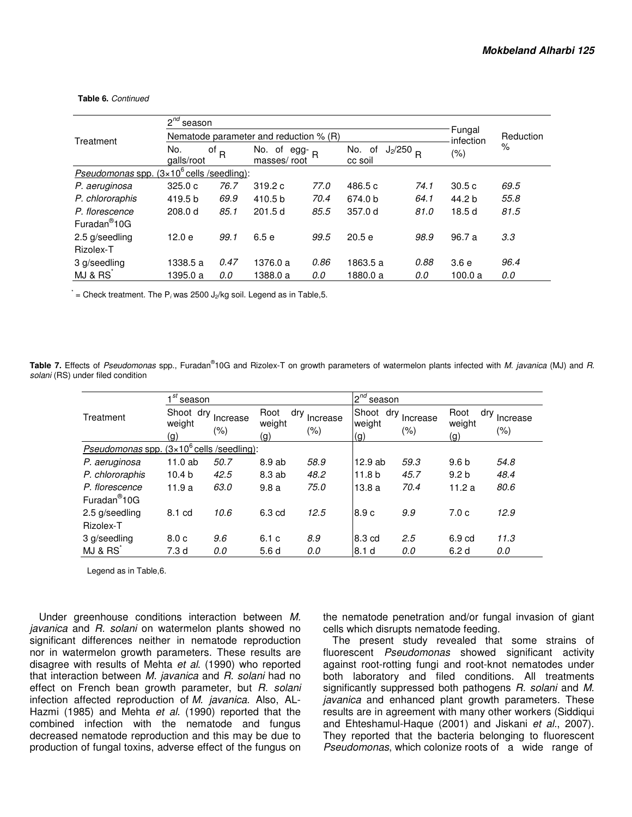**Table 6.** Continued

|                                                                     | $2^{nd}$<br>season<br>Fungal             |                    |                                |      |                                     |      |                      |           |  |
|---------------------------------------------------------------------|------------------------------------------|--------------------|--------------------------------|------|-------------------------------------|------|----------------------|-----------|--|
| Treatment                                                           | Nematode parameter and reduction $% (R)$ |                    |                                |      |                                     |      |                      | Reduction |  |
|                                                                     | No.<br>qalls/root                        | of $_{\mathsf{R}}$ | No. of egg- $R$<br>masses/root |      | $J_2/250$ R<br>No.<br>0f<br>cc soil |      | infection<br>$(\% )$ | $\%$      |  |
| <i>Pseudomonas spp.</i> $(3 \times 10^6 \text{ cells /seedling})$ : |                                          |                    |                                |      |                                     |      |                      |           |  |
| P. aeruginosa                                                       | 325.0c                                   | 76.7               | 319.2c                         | 77.0 | 486.5 c                             | 74.1 | 30.5c                | 69.5      |  |
| P. chlororaphis                                                     | 419.5 b                                  | 69.9               | 410.5 b                        | 70.4 | 674.0 b                             | 64.1 | 44.2 b               | 55.8      |  |
| P. florescence                                                      | 208.0 d                                  | 85.1               | 201.5d                         | 85.5 | 357.0 d                             | 81.0 | 18.5d                | 81.5      |  |
| Furadan <sup>®</sup> 10G                                            |                                          |                    |                                |      |                                     |      |                      |           |  |
| 2.5 g/seedling                                                      | 12.0 e                                   | 99.1               | 6.5 e                          | 99.5 | 20.5e                               | 98.9 | 96.7 a               | 3.3       |  |
| Rizolex-T                                                           |                                          |                    |                                |      |                                     |      |                      |           |  |
| 3 g/seedling                                                        | 1338.5 a                                 | 0.47               | 1376.0 a                       | 0.86 | 1863.5 a                            | 0.88 | 3.6e                 | 96.4      |  |
| MJ & RS                                                             | 1395.0 a                                 | 0.0                | 1388.0 a                       | 0.0  | 1880.0 a                            | 0.0  | 100.0 a              | 0.0       |  |

 $\dot{=}$  = Check treatment. The P<sub>i</sub> was 2500 J<sub>2</sub>/kg soil. Legend as in Table, 5.

Table 7. Effects of Pseudomonas spp., Furadan®10G and Rizolex-T on growth parameters of watermelon plants infected with M. javanica (MJ) and R. solani (RS) under filed condition

|                                                              | ⊿ st<br>season             |                     |                              |                     | $2^{nd}$<br>season         |                 |                              |                  |
|--------------------------------------------------------------|----------------------------|---------------------|------------------------------|---------------------|----------------------------|-----------------|------------------------------|------------------|
| Treatment                                                    | Shoot dry<br>weight<br>(g) | Increase<br>$(\% )$ | Root<br>dry<br>weight<br>(g) | Increase<br>$(\% )$ | Shoot dry<br>weight<br>(g) | Increase<br>(%) | Root<br>dry<br>weight<br>(g) | Increase<br>(% ) |
| Pseudomonas spp. $(3 \times 10^6 \text{ cells /seedling})$ : |                            |                     |                              |                     |                            |                 |                              |                  |
| P. aeruginosa                                                | 11.0 ab                    | 50.7                | 8.9 ab                       | 58.9                | 12.9 ab                    | 59.3            | 9.6 <sub>b</sub>             | 54.8             |
| P. chlororaphis                                              | 10.4 <sub>b</sub>          | 42.5                | 8.3 ab                       | 48.2                | 11.8 <sub>b</sub>          | 45.7            | 9.2 <sub>b</sub>             | 48.4             |
| P. florescence                                               | 11.9a                      | 63.0                | 9.8a                         | 75.0                | 13.8a                      | 70.4            | 11.2a                        | 80.6             |
| Furadan <sup>®</sup> 10G                                     |                            |                     |                              |                     |                            |                 |                              |                  |
| 2.5 g/seedling                                               | 8.1 cd                     | 10.6                | 6.3 cd                       | 12.5                | 8.9 c                      | 9.9             | 7.0 <sub>c</sub>             | 12.9             |
| Rizolex-T                                                    |                            |                     |                              |                     |                            |                 |                              |                  |
| 3 g/seedling                                                 | 8.0c                       | 9.6                 | 6.1c                         | 8.9                 | 8.3 cd                     | 2.5             | 6.9 cd                       | 11.3             |
| MJ & RS                                                      | 7.3 d                      | 0.0                 | 5.6d                         | 0.0                 | 8.1 d                      | 0.0             | 6.2 d                        | 0.0              |

Legend as in Table,6.

Under greenhouse conditions interaction between M. javanica and R. solani on watermelon plants showed no significant differences neither in nematode reproduction nor in watermelon growth parameters. These results are disagree with results of Mehta et al. (1990) who reported that interaction between M. javanica and R. solani had no effect on French bean growth parameter, but R. solani infection affected reproduction of M. javanica. Also, AL-Hazmi (1985) and Mehta et al. (1990) reported that the combined infection with the nematode and fungus decreased nematode reproduction and this may be due to production of fungal toxins, adverse effect of the fungus on

the nematode penetration and/or fungal invasion of giant cells which disrupts nematode feeding.

The present study revealed that some strains of fluorescent Pseudomonas showed significant activity against root-rotting fungi and root-knot nematodes under both laboratory and filed conditions. All treatments significantly suppressed both pathogens R. solani and M. javanica and enhanced plant growth parameters. These results are in agreement with many other workers (Siddiqui and Ehteshamul-Haque (2001) and Jiskani et al., 2007). They reported that the bacteria belonging to fluorescent Pseudomonas, which colonize roots of a wide range of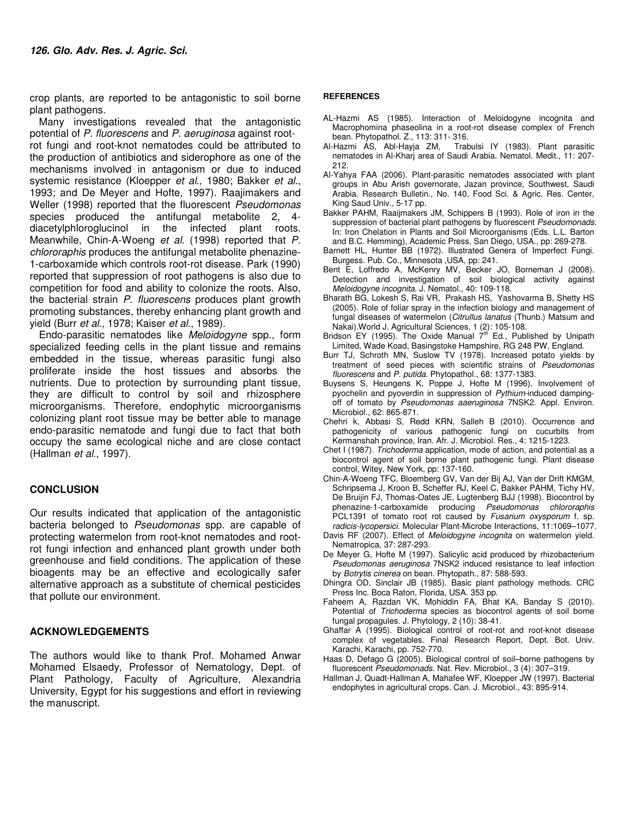crop plants, are reported to be antagonistic to soil borne plant pathogens.

Many investigations revealed that the antagonistic potential of P. fluorescens and P. aeruginosa against rootrot fungi and root-knot nematodes could be attributed to the production of antibiotics and siderophore as one of the mechanisms involved in antagonism or due to induced systemic resistance (Kloepper et al., 1980; Bakker et al., 1993; and De Meyer and Hofte, 1997). Raajimakers and Weller (1998) reported that the fluorescent Pseudomonas species produced the antifungal metabolite 2, 4 diacetylphloroglucinol in the infected plant roots. Meanwhile, Chin-A-Woeng et al. (1998) reported that P. chlororaphis produces the antifungal metabolite phenazine-1-carboxamide which controls root-rot disease. Park (1990) reported that suppression of root pathogens is also due to competition for food and ability to colonize the roots. Also, the bacterial strain P. fluorescens produces plant growth promoting substances, thereby enhancing plant growth and yield (Burr et al., 1978; Kaiser et al., 1989).

Endo-parasitic nematodes like Meloidogyne spp., form specialized feeding cells in the plant tissue and remains embedded in the tissue, whereas parasitic fungi also proliferate inside the host tissues and absorbs the nutrients. Due to protection by surrounding plant tissue, they are difficult to control by soil and rhizosphere microorganisms. Therefore, endophytic microorganisms colonizing plant root tissue may be better able to manage endo-parasitic nematode and fungi due to fact that both occupy the same ecological niche and are close contact (Hallman et al., 1997).

### **CONCLUSION**

Our results indicated that application of the antagonistic bacteria belonged to Pseudomonas spp. are capable of protecting watermelon from root-knot nematodes and rootrot fungi infection and enhanced plant growth under both greenhouse and field conditions. The application of these bioagents may be an effective and ecologically safer alternative approach as a substitute of chemical pesticides that pollute our environment.

### **ACKNOWLEDGEMENTS**

The authors would like to thank Prof. Mohamed Anwar Mohamed Elsaedy, Professor of Nematology, Dept. of Plant Pathology, Faculty of Agriculture, Alexandria University, Egypt for his suggestions and effort in reviewing the manuscript.

#### **REFERENCES**

- AL-Hazmi AS (1985). Interaction of Meloidogyne incognita and Macrophomina phaseolina in a root-rot disease complex of French bean. Phytopathol. Z., 113: 311- 316.<br>Al-Hazmi AS, Abl-Hayja ZM, Trab
- Trabulsi IY (1983). Plant parasitic nematodes in Al-Kharj area of Saudi Arabia. Nematol. Medit., 11: 207- 212.
- Al-Yahya FAA (2006). Plant-parasitic nematodes associated with plant groups in Abu Arish governorate, Jazan province, Southwest, Saudi Arabia. Research Bulletin., No. 140, Food Sci. & Agric. Res. Center, King Saud Univ., 5-17 pp.
- Bakker PAHM, Raaijmakers JM, Schippers B (1993). Role of iron in the suppression of bacterial plant pathogens by fluorescent Pseudomonads. In: Iron Chelation in Plants and Soil Microorganisms (Eds. L.L. Barton and B.C. Hemming), Academic Press, San Diego, USA., pp: 269-278.
- Barnett HL, Hunter BB (1972). Illustrated Genera of Imperfect Fungi. Burgess. Pub. Co., Minnesota ,USA, pp: 241.
- Bent E, Loffredo A, McKenry MV, Becker JO, Borneman J (2008). Detection and investigation of soil biological activity against Meloidogyne incognita. J. Nematol., 40: 109-118.
- Bharath BG, Lokesh S, Rai VR, Prakash HS, Yashovarma B, Shetty HS (2005). Role of foliar spray in the infection biology and management of fungal diseases of watermelon (Citrullus lanatus (Thunb.) Matsum and
- Nakai).World J. Agricultural Sciences, 1 (2): 105-108.<br>Bridson EY (1995). The Oxide Manual 7<sup>th</sup> Ed., Published by Unipath Limited, Wade Koad, Basingstoke Hampshire, RG 248 PW, England.
- Burr TJ, Schroth MN, Suslow TV (1978). Increased potato yields by treatment of seed pieces with scientific strains of Pseudomonas fluorescens and P. putida. Phytopathol., 68: 1377-1383.
- Buysens S, Heungens K, Poppe J, Hofte M (1996). Involvement of pyochelin and pyoverdin in suppression of Pythium-induced dampingoff of tomato by Pseudomonas aaeruginosa 7NSK2. Appl. Environ. Microbiol., 62: 865-871.
- Chehri k, Abbasi S, Redd KRN, Salleh B (2010). Occurrence and pathogenicity of various pathogenic fungi on cucurbits from Kermanshah province, Iran. Afr. J. Microbiol. Res., 4: 1215-1223.
- Chet I (1987). Trichoderma application, mode of action, and potential as a biocontrol agent of soil borne plant pathogenic fungi. Plant disease control, Witey, New York, pp: 137-160.
- Chin-A-Woeng TFC, Bloemberg GV, Van der Bij AJ, Van der Drift KMGM, Schripsema J, Kroon B, Scheffer RJ, Keel C, Bakker PAHM, Tichy HV, De Bruijin FJ, Thomas-Oates JE, Lugtenberg BJJ (1998). Biocontrol by phenazine-1-carboxamide producing Pseudomonas chlororaphis PCL1391 of tomato root rot caused by Fusarium oxysporum f. sp. radicis-lycopersici. Molecular Plant-Microbe Interactions, 11:1069–1077.
- Davis RF (2007). Effect of Meloidogyne incognita on watermelon yield. Nematropica, 37: 287-293.
- De Meyer G, Hofte M (1997). Salicylic acid produced by rhizobacterium Pseudomonas aeruginosa 7NSK2 induced resistance to leaf infection by Botrytis cinerea on bean. Phytopath., 87: 588-593.
- Dhingra OD, Sinclair JB (1985). Basic plant pathology methods. CRC Press Inc. Boca Raton, Florida, USA. 353 pp.
- Faheem A, Razdan VK, Mohiddin FA, Bhat KA, Banday S (2010). Potential of Trichoderma species as biocontrol agents of soil borne fungal propagules. J. Phytology, 2 (10): 38-41.
- Ghaffar A (1995). Biological control of root-rot and root-knot disease complex of vegetables. Final Research Report, Dept. Bot. Univ. Karachi, Karachi, pp. 752-770.
- Haas D, Defago G (2005). Biological control of soil–borne pathogens by fluorescent Pseudomonads. Nat. Rev. Microbiol., 3 (4): 307-319.
- Hallman J, Quadt-Hallman A, Mahafee WF, Kloepper JW (1997). Bacterial endophytes in agricultural crops. Can. J. Microbiol., 43: 895-914.